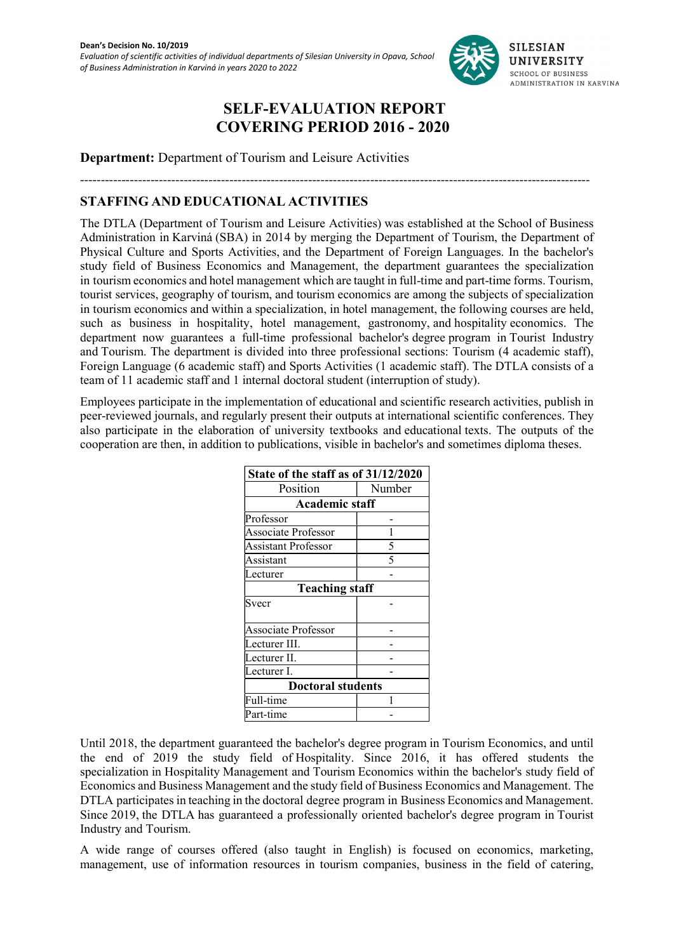

# SELF-EVALUATION REPORT COVERING PERIOD 2016 - 2020

Department: Department of Tourism and Leisure Activities 

---------------------------------------------------------------------------------------------------------------------------

## STAFFING AND EDUCATIONAL ACTIVITIES

The DTLA (Department of Tourism and Leisure Activities) was established at the School of Business Administration in Karviná (SBA) in 2014 by merging the Department of Tourism, the Department of Physical Culture and Sports Activities, and the Department of Foreign Languages. In the bachelor's study field of Business Economics and Management, the department guarantees the specialization in tourism economics and hotel management which are taught in full-time and part-time forms. Tourism, tourist services, geography of tourism, and tourism economics are among the subjects of specialization in tourism economics and within a specialization, in hotel management, the following courses are held, such as business in hospitality, hotel management, gastronomy, and hospitality economics. The department now guarantees a full-time professional bachelor's degree program in Tourist Industry and Tourism. The department is divided into three professional sections: Tourism (4 academic staff), Foreign Language (6 academic staff) and Sports Activities (1 academic staff). The DTLA consists of a team of 11 academic staff and 1 internal doctoral student (interruption of study).

Employees participate in the implementation of educational and scientific research activities, publish in peer-reviewed journals, and regularly present their outputs at international scientific conferences. They also participate in the elaboration of university textbooks and educational texts. The outputs of the cooperation are then, in addition to publications, visible in bachelor's and sometimes diploma theses.

| State of the staff as of 31/12/2020 |        |  |  |  |  |  |
|-------------------------------------|--------|--|--|--|--|--|
| Position                            | Number |  |  |  |  |  |
| <b>Academic staff</b>               |        |  |  |  |  |  |
| Professor                           |        |  |  |  |  |  |
| Associate Professor                 |        |  |  |  |  |  |
| Assistant Professor                 | 5      |  |  |  |  |  |
| Assistant                           |        |  |  |  |  |  |
| Lecturer                            |        |  |  |  |  |  |
| <b>Teaching staff</b>               |        |  |  |  |  |  |
| Svecr                               |        |  |  |  |  |  |
|                                     |        |  |  |  |  |  |
| Associate Professor                 |        |  |  |  |  |  |
| Lecturer III.                       |        |  |  |  |  |  |
| Lecturer II.                        |        |  |  |  |  |  |
| Lecturer I.                         |        |  |  |  |  |  |
| <b>Doctoral students</b>            |        |  |  |  |  |  |
| Full-time                           |        |  |  |  |  |  |
| art-tıme                            |        |  |  |  |  |  |

Until 2018, the department guaranteed the bachelor's degree program in Tourism Economics, and until the end of 2019 the study field of Hospitality. Since 2016, it has offered students the specialization in Hospitality Management and Tourism Economics within the bachelor's study field of Economics and Business Management and the study field of Business Economics and Management. The DTLA participates in teaching in the doctoral degree program in Business Economics and Management. Since 2019, the DTLA has guaranteed a professionally oriented bachelor's degree program in Tourist Industry and Tourism.

A wide range of courses offered (also taught in English) is focused on economics, marketing, management, use of information resources in tourism companies, business in the field of catering,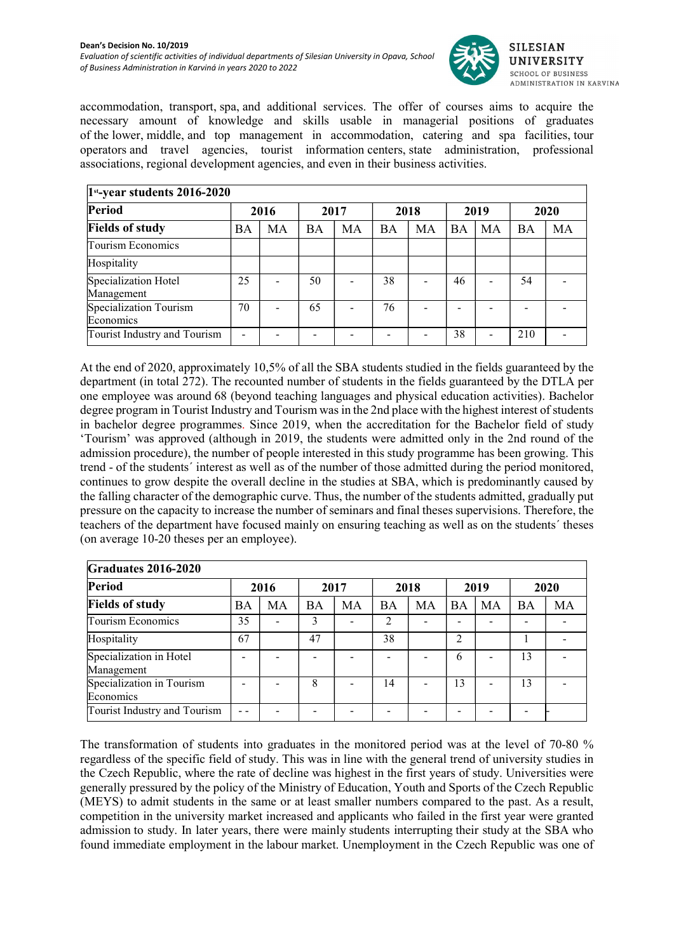

accommodation, transport, spa, and additional services. The offer of courses aims to acquire the necessary amount of knowledge and skills usable in managerial positions of graduates of the lower, middle, and top management in accommodation, catering and spa facilities, tour operators and travel agencies, tourist information centers, state administration, professional associations, regional development agencies, and even in their business activities.

| $1st$ -year students 2016-2020      |                      |    |      |    |           |    |           |                 |           |    |
|-------------------------------------|----------------------|----|------|----|-----------|----|-----------|-----------------|-----------|----|
| Period                              | 2016<br>2017<br>2018 |    | 2019 |    | 2020      |    |           |                 |           |    |
| <b>Fields of study</b>              | <b>BA</b>            | MA | BA   | MA | <b>BA</b> | MA | <b>BA</b> | MA              | <b>BA</b> | MA |
| Tourism Economics                   |                      |    |      |    |           |    |           |                 |           |    |
| Hospitality                         |                      |    |      |    |           |    |           |                 |           |    |
| Specialization Hotel<br>Management  | 25                   |    | 50   |    | 38        |    | 46        |                 | 54        |    |
| Specialization Tourism<br>Economics | 70                   |    | 65   |    | 76        |    |           |                 |           |    |
| Tourist Industry and Tourism        |                      |    |      |    |           |    | 38        | $\qquad \qquad$ | 210       |    |

At the end of 2020, approximately 10,5% of all the SBA students studied in the fields guaranteed by the department (in total 272). The recounted number of students in the fields guaranteed by the DTLA per one employee was around 68 (beyond teaching languages and physical education activities). Bachelor degree program in Tourist Industry and Tourism was in the 2nd place with the highest interest of students in bachelor degree programmes. Since 2019, when the accreditation for the Bachelor field of study 'Tourism' was approved (although in 2019, the students were admitted only in the 2nd round of the admission procedure), the number of people interested in this study programme has been growing. This trend - of the students´ interest as well as of the number of those admitted during the period monitored, continues to grow despite the overall decline in the studies at SBA, which is predominantly caused by the falling character of the demographic curve. Thus, the number of the students admitted, gradually put pressure on the capacity to increase the number of seminars and final theses supervisions. Therefore, the teachers of the department have focused mainly on ensuring teaching as well as on the students´ theses (on average 10-20 theses per an employee).

| <b>Graduates 2016-2020</b>             |    |                          |           |      |               |      |                |      |           |      |
|----------------------------------------|----|--------------------------|-----------|------|---------------|------|----------------|------|-----------|------|
| Period                                 |    | 2016                     |           | 2017 |               | 2018 |                | 2019 |           | 2020 |
| <b>Fields of study</b>                 | BA | MA                       | <b>BA</b> | MA   | <b>BA</b>     | MA   | BA             | MA   | <b>BA</b> | MA   |
| Tourism Economics                      | 35 | $\overline{\phantom{0}}$ | 3         |      | $\mathcal{D}$ |      |                |      |           |      |
| Hospitality                            | 67 |                          | 47        |      | 38            |      | $\overline{c}$ |      |           |      |
| Specialization in Hotel<br>Management  |    |                          |           |      |               |      | 6              |      | 13        |      |
| Specialization in Tourism<br>Economics |    |                          | 8         |      | 14            |      | 13             |      | 13        |      |
| Tourist Industry and Tourism           |    |                          |           |      |               |      |                |      |           |      |

The transformation of students into graduates in the monitored period was at the level of 70-80 % regardless of the specific field of study. This was in line with the general trend of university studies in the Czech Republic, where the rate of decline was highest in the first years of study. Universities were generally pressured by the policy of the Ministry of Education, Youth and Sports of the Czech Republic (MEYS) to admit students in the same or at least smaller numbers compared to the past. As a result, competition in the university market increased and applicants who failed in the first year were granted admission to study. In later years, there were mainly students interrupting their study at the SBA who found immediate employment in the labour market. Unemployment in the Czech Republic was one of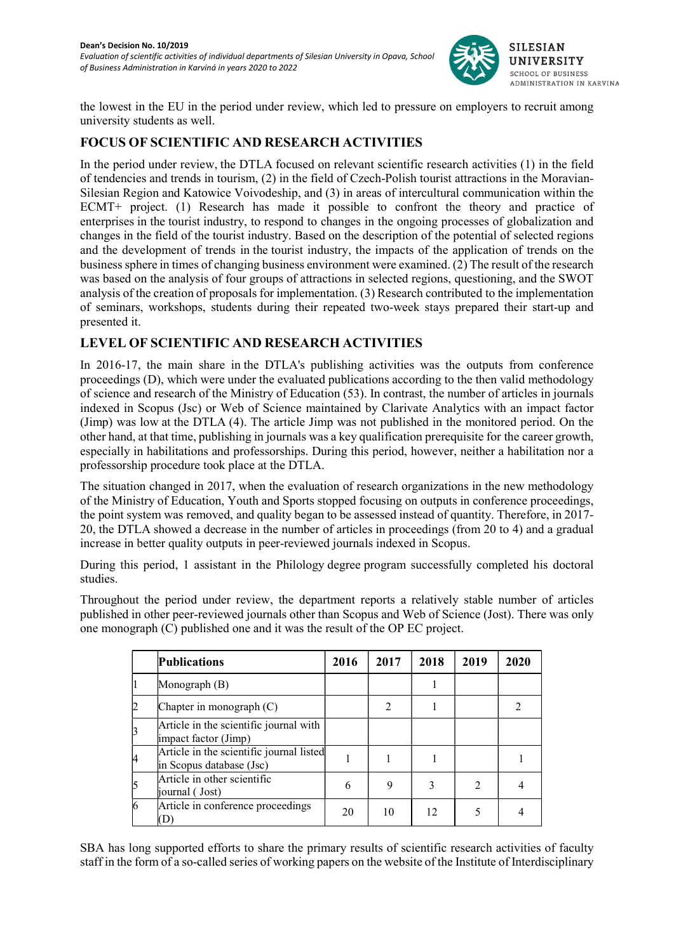

the lowest in the EU in the period under review, which led to pressure on employers to recruit among university students as well.

#### FOCUS OF SCIENTIFIC AND RESEARCH ACTIVITIES

In the period under review, the DTLA focused on relevant scientific research activities (1) in the field of tendencies and trends in tourism, (2) in the field of Czech-Polish tourist attractions in the Moravian-Silesian Region and Katowice Voivodeship, and (3) in areas of intercultural communication within the ECMT+ project. (1) Research has made it possible to confront the theory and practice of enterprises in the tourist industry, to respond to changes in the ongoing processes of globalization and changes in the field of the tourist industry. Based on the description of the potential of selected regions and the development of trends in the tourist industry, the impacts of the application of trends on the business sphere in times of changing business environment were examined. (2) The result of the research was based on the analysis of four groups of attractions in selected regions, questioning, and the SWOT analysis of the creation of proposals for implementation. (3) Research contributed to the implementation of seminars, workshops, students during their repeated two-week stays prepared their start-up and presented it.

### LEVEL OF SCIENTIFIC AND RESEARCH ACTIVITIES

In 2016-17, the main share in the DTLA's publishing activities was the outputs from conference proceedings (D), which were under the evaluated publications according to the then valid methodology of science and research of the Ministry of Education (53). In contrast, the number of articles in journals indexed in Scopus (Jsc) or Web of Science maintained by Clarivate Analytics with an impact factor (Jimp) was low at the DTLA (4). The article Jimp was not published in the monitored period. On the other hand, at that time, publishing in journals was a key qualification prerequisite for the career growth, especially in habilitations and professorships. During this period, however, neither a habilitation nor a professorship procedure took place at the DTLA.

The situation changed in 2017, when the evaluation of research organizations in the new methodology of the Ministry of Education, Youth and Sports stopped focusing on outputs in conference proceedings, the point system was removed, and quality began to be assessed instead of quantity. Therefore, in 2017- 20, the DTLA showed a decrease in the number of articles in proceedings (from 20 to 4) and a gradual increase in better quality outputs in peer-reviewed journals indexed in Scopus.

During this period, 1 assistant in the Philology degree program successfully completed his doctoral studies.

Throughout the period under review, the department reports a relatively stable number of articles published in other peer-reviewed journals other than Scopus and Web of Science (Jost). There was only one monograph (C) published one and it was the result of the OP EC project.

| <b>Publications</b>                                                  | 2016 | 2017 | 2018 | 2019          | 2020 |
|----------------------------------------------------------------------|------|------|------|---------------|------|
| Monograph (B)                                                        |      |      |      |               |      |
| Chapter in monograph $(C)$                                           |      | 2    |      |               |      |
| Article in the scientific journal with<br>impact factor (Jimp)       |      |      |      |               |      |
| Article in the scientific journal listed<br>in Scopus database (Jsc) |      |      |      |               |      |
| Article in other scientific<br>journal (Jost)                        | 6    | 9    | 3    | $\mathcal{L}$ |      |
| Article in conference proceedings<br>D                               | 20   | 10   | 12   |               |      |

SBA has long supported efforts to share the primary results of scientific research activities of faculty staff in the form of a so-called series of working papers on the website of the Institute of Interdisciplinary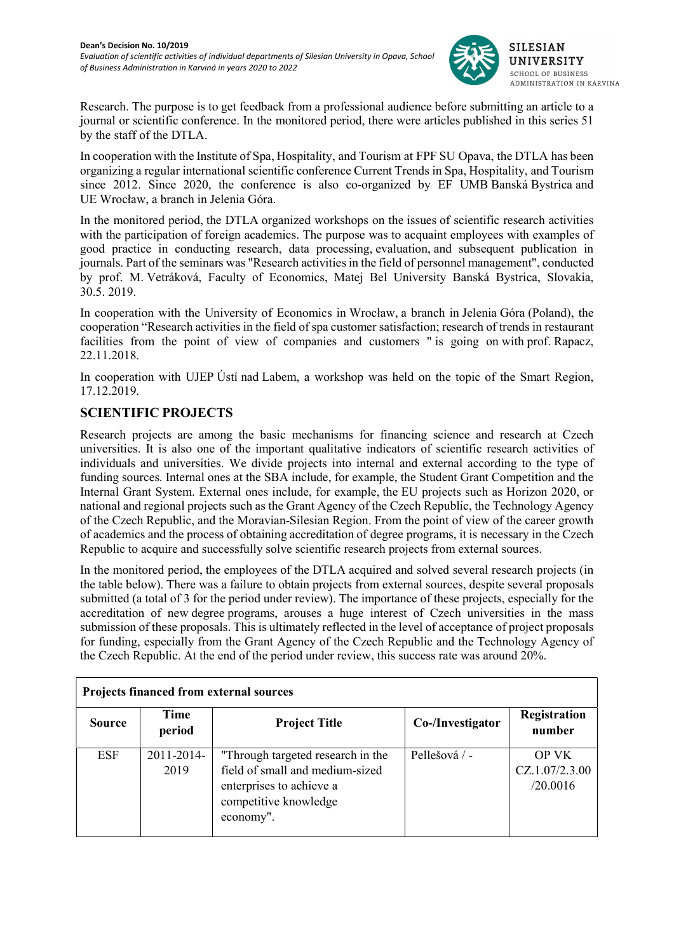

Research. The purpose is to get feedback from a professional audience before submitting an article to a journal or scientific conference. In the monitored period, there were articles published in this series 51 by the staff of the DTLA.

In cooperation with the Institute of Spa, Hospitality, and Tourism at FPF SU Opava, the DTLA has been organizing a regular international scientific conference Current Trends in Spa, Hospitality, and Tourism since 2012. Since 2020, the conference is also co-organized by EF UMB Banská Bystrica and UE Wrocław, a branch in Jelenia Góra.

In the monitored period, the DTLA organized workshops on the issues of scientific research activities with the participation of foreign academics. The purpose was to acquaint employees with examples of good practice in conducting research, data processing, evaluation, and subsequent publication in journals. Part of the seminars was "Research activities in the field of personnel management", conducted by prof. M. Vetráková, Faculty of Economics, Matej Bel University Banská Bystrica, Slovakia, 30.5. 2019.

In cooperation with the University of Economics in Wrocław, a branch in Jelenia Góra (Poland), the cooperation "Research activities in the field of spa customer satisfaction; research of trends in restaurant facilities from the point of view of companies and customers " is going on with prof. Rapacz, 22.11.2018.

In cooperation with UJEP Ústí nad Labem, a workshop was held on the topic of the Smart Region, 17.12.2019.

### SCIENTIFIC PROJECTS

Research projects are among the basic mechanisms for financing science and research at Czech universities. It is also one of the important qualitative indicators of scientific research activities of individuals and universities. We divide projects into internal and external according to the type of funding sources. Internal ones at the SBA include, for example, the Student Grant Competition and the Internal Grant System. External ones include, for example, the EU projects such as Horizon 2020, or national and regional projects such as the Grant Agency of the Czech Republic, the Technology Agency of the Czech Republic, and the Moravian-Silesian Region. From the point of view of the career growth of academics and the process of obtaining accreditation of degree programs, it is necessary in the Czech Republic to acquire and successfully solve scientific research projects from external sources.

In the monitored period, the employees of the DTLA acquired and solved several research projects (in the table below). There was a failure to obtain projects from external sources, despite several proposals submitted (a total of 3 for the period under review). The importance of these projects, especially for the accreditation of new degree programs, arouses a huge interest of Czech universities in the mass submission of these proposals. This is ultimately reflected in the level of acceptance of project proposals for funding, especially from the Grant Agency of the Czech Republic and the Technology Agency of the Czech Republic. At the end of the period under review, this success rate was around 20%.

| <b>Projects financed from external sources</b> |                    |                                                                                                                                        |                  |                                            |  |  |  |  |
|------------------------------------------------|--------------------|----------------------------------------------------------------------------------------------------------------------------------------|------------------|--------------------------------------------|--|--|--|--|
| <b>Source</b>                                  | Time<br>period     | <b>Project Title</b>                                                                                                                   | Co-/Investigator | Registration<br>number                     |  |  |  |  |
| <b>ESF</b>                                     | 2011-2014-<br>2019 | "Through targeted research in the<br>field of small and medium-sized<br>enterprises to achieve a<br>competitive knowledge<br>economy". | Pellešová / -    | <b>OP VK</b><br>CZ.1.07/2.3.00<br>/20.0016 |  |  |  |  |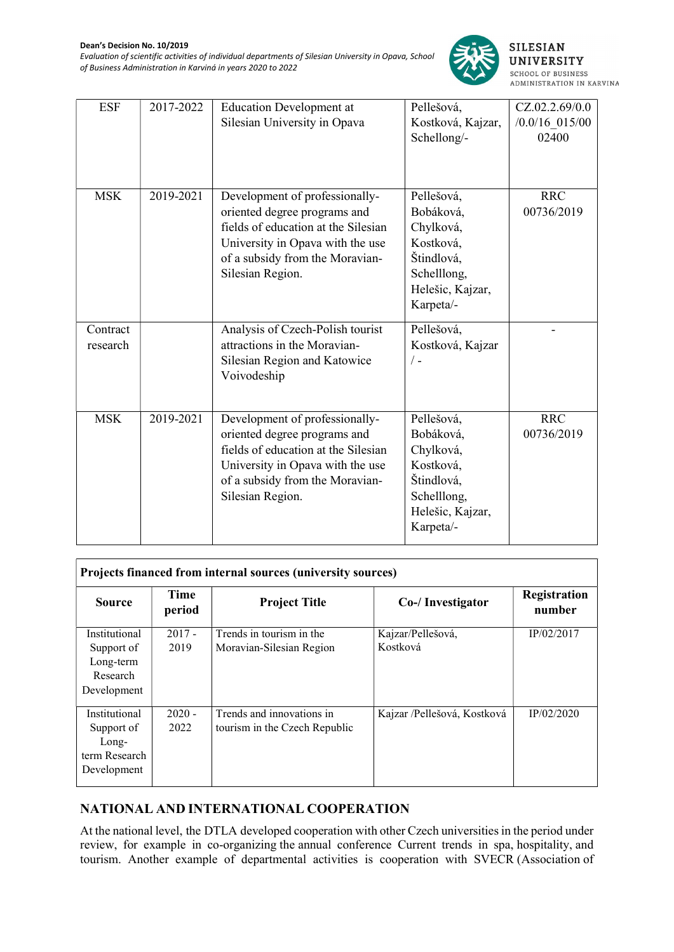

| <b>ESF</b>           | 2017-2022 | <b>Education Development at</b><br>Silesian University in Opava                                                                                                                                  | Pellešová,<br>Kostková, Kajzar,<br>Schellong/-                                                                  | CZ.02.2.69/0.0<br>$/0.0/16$ 015/00<br>02400 |
|----------------------|-----------|--------------------------------------------------------------------------------------------------------------------------------------------------------------------------------------------------|-----------------------------------------------------------------------------------------------------------------|---------------------------------------------|
| <b>MSK</b>           | 2019-2021 | Development of professionally-<br>oriented degree programs and<br>fields of education at the Silesian<br>University in Opava with the use<br>of a subsidy from the Moravian-<br>Silesian Region. | Pellešová,<br>Bobáková,<br>Chylková,<br>Kostková,<br>Štindlová,<br>Schelllong,<br>Helešic, Kajzar,<br>Karpeta/- | <b>RRC</b><br>00736/2019                    |
| Contract<br>research |           | Analysis of Czech-Polish tourist<br>attractions in the Moravian-<br>Silesian Region and Katowice<br>Voivodeship                                                                                  | Pellešová,<br>Kostková, Kajzar<br>$/$ -                                                                         |                                             |
| <b>MSK</b>           | 2019-2021 | Development of professionally-<br>oriented degree programs and<br>fields of education at the Silesian<br>University in Opava with the use<br>of a subsidy from the Moravian-<br>Silesian Region. | Pellešová,<br>Bobáková,<br>Chylková,<br>Kostková,<br>Štindlová,<br>Schelllong,<br>Helešic, Kajzar,<br>Karpeta/- | <b>RRC</b><br>00736/2019                    |

| <b>Projects financed from internal sources (university sources)</b>  |                  |                                                            |                               |                        |  |  |  |
|----------------------------------------------------------------------|------------------|------------------------------------------------------------|-------------------------------|------------------------|--|--|--|
| <b>Source</b>                                                        | Time<br>period   | <b>Project Title</b>                                       | Co-/ Investigator             | Registration<br>number |  |  |  |
| Institutional<br>Support of<br>Long-term<br>Research<br>Development  | $2017 -$<br>2019 | Trends in tourism in the<br>Moravian-Silesian Region       | Kajzar/Pellešová,<br>Kostková | IP/02/2017             |  |  |  |
| Institutional<br>Support of<br>Long-<br>term Research<br>Development | $2020 -$<br>2022 | Trends and innovations in<br>tourism in the Czech Republic | Kajzar /Pellešová, Kostková   | IP/02/2020             |  |  |  |

# NATIONAL AND INTERNATIONAL COOPERATION

At the national level, the DTLA developed cooperation with other Czech universities in the period under review, for example in co-organizing the annual conference Current trends in spa, hospitality, and tourism. Another example of departmental activities is cooperation with SVECR (Association of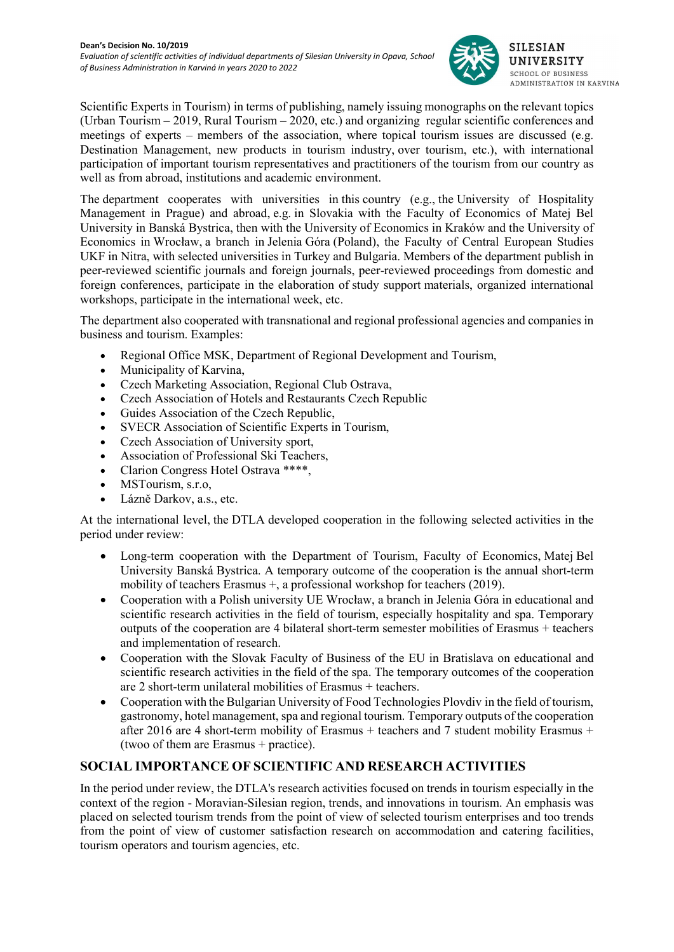

Scientific Experts in Tourism) in terms of publishing, namely issuing monographs on the relevant topics (Urban Tourism – 2019, Rural Tourism – 2020, etc.) and organizing regular scientific conferences and meetings of experts – members of the association, where topical tourism issues are discussed (e.g. Destination Management, new products in tourism industry, over tourism, etc.), with international participation of important tourism representatives and practitioners of the tourism from our country as well as from abroad, institutions and academic environment.

The department cooperates with universities in this country (e.g., the University of Hospitality Management in Prague) and abroad, e.g. in Slovakia with the Faculty of Economics of Matej Bel University in Banská Bystrica, then with the University of Economics in Kraków and the University of Economics in Wrocław, a branch in Jelenia Góra (Poland), the Faculty of Central European Studies UKF in Nitra, with selected universities in Turkey and Bulgaria. Members of the department publish in peer-reviewed scientific journals and foreign journals, peer-reviewed proceedings from domestic and foreign conferences, participate in the elaboration of study support materials, organized international workshops, participate in the international week, etc.

The department also cooperated with transnational and regional professional agencies and companies in business and tourism. Examples:

- Regional Office MSK, Department of Regional Development and Tourism,
- Municipality of Karvina,
- Czech Marketing Association, Regional Club Ostrava,
- Czech Association of Hotels and Restaurants Czech Republic
- Guides Association of the Czech Republic,
- SVECR Association of Scientific Experts in Tourism,
- Czech Association of University sport,
- Association of Professional Ski Teachers,
- Clarion Congress Hotel Ostrava \*\*\*\*,
- MSTourism, s.r.o.
- Lázně Darkov, a.s., etc.

At the international level, the DTLA developed cooperation in the following selected activities in the period under review:

- Long-term cooperation with the Department of Tourism, Faculty of Economics, Matej Bel University Banská Bystrica. A temporary outcome of the cooperation is the annual short-term mobility of teachers Erasmus +, a professional workshop for teachers (2019).
- Cooperation with a Polish university UE Wrocław, a branch in Jelenia Góra in educational and scientific research activities in the field of tourism, especially hospitality and spa. Temporary outputs of the cooperation are 4 bilateral short-term semester mobilities of Erasmus + teachers and implementation of research.
- Cooperation with the Slovak Faculty of Business of the EU in Bratislava on educational and scientific research activities in the field of the spa. The temporary outcomes of the cooperation are 2 short-term unilateral mobilities of Erasmus + teachers.
- Cooperation with the Bulgarian University of Food Technologies Plovdiv in the field of tourism, gastronomy, hotel management, spa and regional tourism. Temporary outputs of the cooperation after 2016 are 4 short-term mobility of Erasmus + teachers and 7 student mobility Erasmus + (twoo of them are Erasmus + practice).

# SOCIAL IMPORTANCE OF SCIENTIFIC AND RESEARCH ACTIVITIES

In the period under review, the DTLA's research activities focused on trends in tourism especially in the context of the region - Moravian-Silesian region, trends, and innovations in tourism. An emphasis was placed on selected tourism trends from the point of view of selected tourism enterprises and too trends from the point of view of customer satisfaction research on accommodation and catering facilities, tourism operators and tourism agencies, etc.